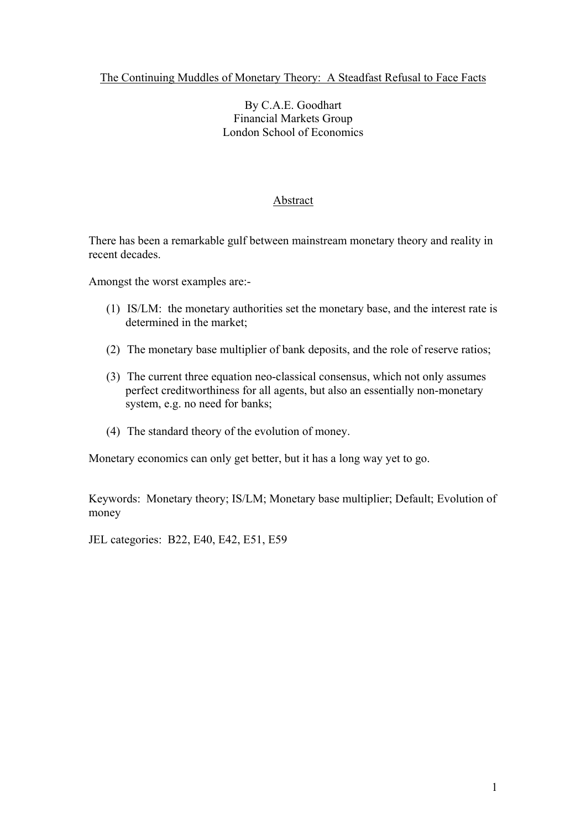The Continuing Muddles of Monetary Theory: A Steadfast Refusal to Face Facts

# By C.A.E. Goodhart Financial Markets Group London School of Economics

# Abstract

There has been a remarkable gulf between mainstream monetary theory and reality in recent decades.

Amongst the worst examples are:-

- (1) IS/LM: the monetary authorities set the monetary base, and the interest rate is determined in the market;
- (2) The monetary base multiplier of bank deposits, and the role of reserve ratios;
- (3) The current three equation neo-classical consensus, which not only assumes perfect creditworthiness for all agents, but also an essentially non-monetary system, e.g. no need for banks;
- (4) The standard theory of the evolution of money.

Monetary economics can only get better, but it has a long way yet to go.

Keywords: Monetary theory; IS/LM; Monetary base multiplier; Default; Evolution of money

JEL categories: B22, E40, E42, E51, E59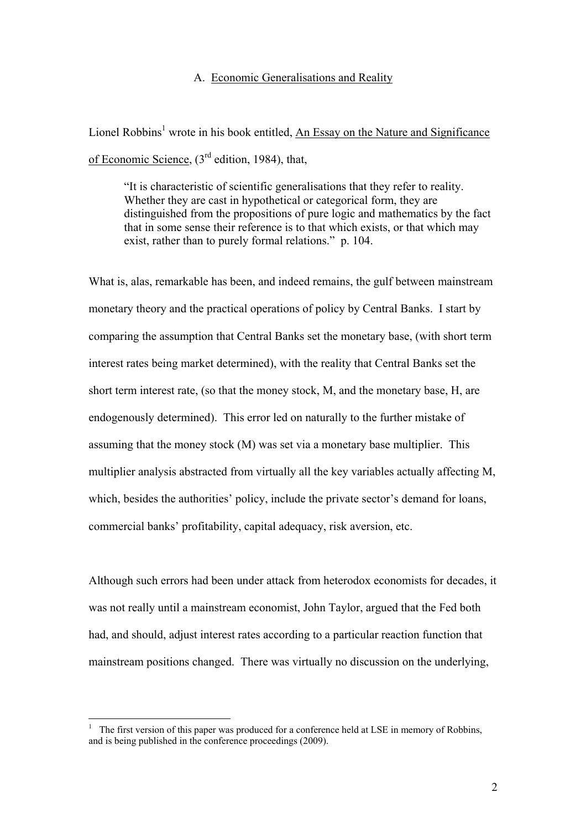### A. Economic Generalisations and Reality

Lionel Robbins<sup>1</sup> wrote in his book entitled, An Essay on the Nature and Significance of Economic Science, (3rd edition, 1984), that,

"It is characteristic of scientific generalisations that they refer to reality. Whether they are cast in hypothetical or categorical form, they are distinguished from the propositions of pure logic and mathematics by the fact that in some sense their reference is to that which exists, or that which may exist, rather than to purely formal relations." p. 104.

What is, alas, remarkable has been, and indeed remains, the gulf between mainstream monetary theory and the practical operations of policy by Central Banks. I start by comparing the assumption that Central Banks set the monetary base, (with short term interest rates being market determined), with the reality that Central Banks set the short term interest rate, (so that the money stock, M, and the monetary base, H, are endogenously determined). This error led on naturally to the further mistake of assuming that the money stock (M) was set via a monetary base multiplier. This multiplier analysis abstracted from virtually all the key variables actually affecting M, which, besides the authorities' policy, include the private sector's demand for loans, commercial banks' profitability, capital adequacy, risk aversion, etc.

Although such errors had been under attack from heterodox economists for decades, it was not really until a mainstream economist, John Taylor, argued that the Fed both had, and should, adjust interest rates according to a particular reaction function that mainstream positions changed. There was virtually no discussion on the underlying,

<span id="page-1-0"></span><sup>1</sup> The first version of this paper was produced for a conference held at LSE in memory of Robbins, and is being published in the conference proceedings (2009).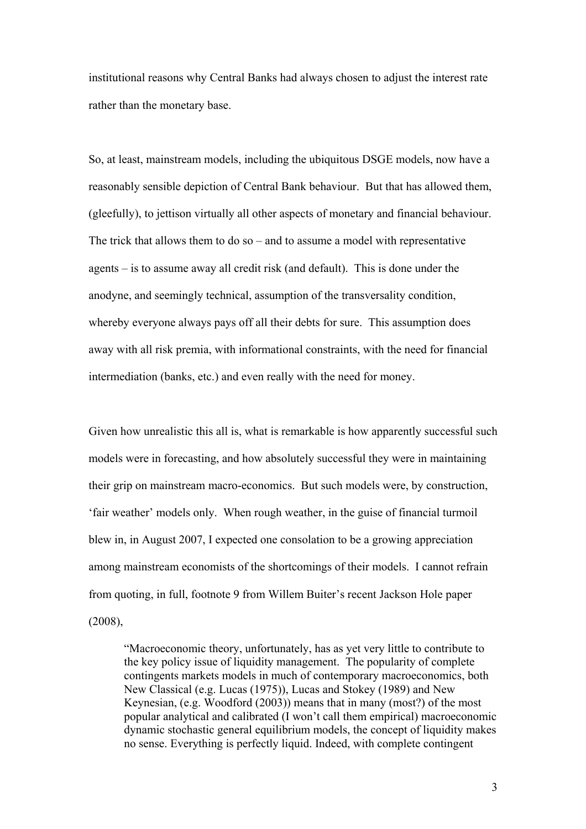institutional reasons why Central Banks had always chosen to adjust the interest rate rather than the monetary base.

So, at least, mainstream models, including the ubiquitous DSGE models, now have a reasonably sensible depiction of Central Bank behaviour. But that has allowed them, (gleefully), to jettison virtually all other aspects of monetary and financial behaviour. The trick that allows them to do so – and to assume a model with representative agents – is to assume away all credit risk (and default). This is done under the anodyne, and seemingly technical, assumption of the transversality condition, whereby everyone always pays off all their debts for sure. This assumption does away with all risk premia, with informational constraints, with the need for financial intermediation (banks, etc.) and even really with the need for money.

Given how unrealistic this all is, what is remarkable is how apparently successful such models were in forecasting, and how absolutely successful they were in maintaining their grip on mainstream macro-economics. But such models were, by construction, 'fair weather' models only. When rough weather, in the guise of financial turmoil blew in, in August 2007, I expected one consolation to be a growing appreciation among mainstream economists of the shortcomings of their models. I cannot refrain from quoting, in full, footnote 9 from Willem Buiter's recent Jackson Hole paper (2008),

"Macroeconomic theory, unfortunately, has as yet very little to contribute to the key policy issue of liquidity management. The popularity of complete contingents markets models in much of contemporary macroeconomics, both New Classical (e.g. Lucas (1975)), Lucas and Stokey (1989) and New Keynesian, (e.g. Woodford (2003)) means that in many (most?) of the most popular analytical and calibrated (I won't call them empirical) macroeconomic dynamic stochastic general equilibrium models, the concept of liquidity makes no sense. Everything is perfectly liquid. Indeed, with complete contingent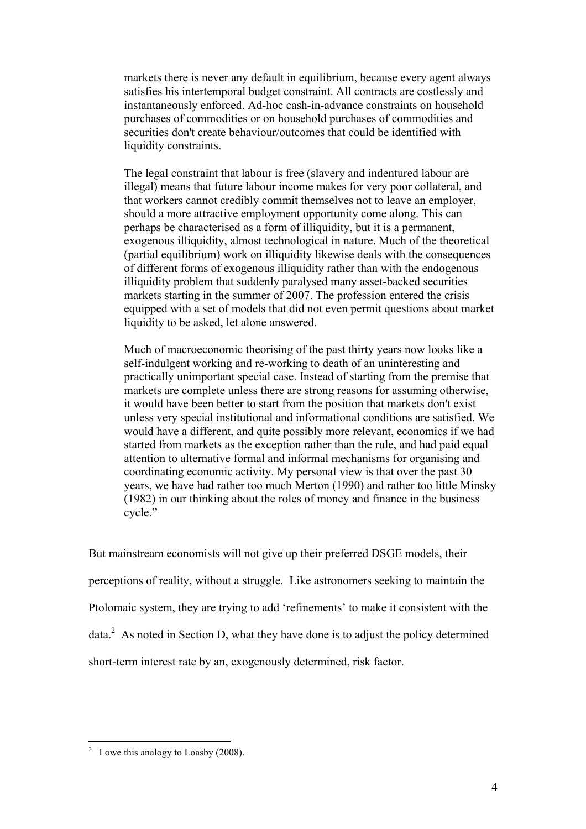markets there is never any default in equilibrium, because every agent always satisfies his intertemporal budget constraint. All contracts are costlessly and instantaneously enforced. Ad-hoc cash-in-advance constraints on household purchases of commodities or on household purchases of commodities and securities don't create behaviour/outcomes that could be identified with liquidity constraints.

The legal constraint that labour is free (slavery and indentured labour are illegal) means that future labour income makes for very poor collateral, and that workers cannot credibly commit themselves not to leave an employer, should a more attractive employment opportunity come along. This can perhaps be characterised as a form of illiquidity, but it is a permanent, exogenous illiquidity, almost technological in nature. Much of the theoretical (partial equilibrium) work on illiquidity likewise deals with the consequences of different forms of exogenous illiquidity rather than with the endogenous illiquidity problem that suddenly paralysed many asset-backed securities markets starting in the summer of 2007. The profession entered the crisis equipped with a set of models that did not even permit questions about market liquidity to be asked, let alone answered.

Much of macroeconomic theorising of the past thirty years now looks like a self-indulgent working and re-working to death of an uninteresting and practically unimportant special case. Instead of starting from the premise that markets are complete unless there are strong reasons for assuming otherwise, it would have been better to start from the position that markets don't exist unless very special institutional and informational conditions are satisfied. We would have a different, and quite possibly more relevant, economics if we had started from markets as the exception rather than the rule, and had paid equal attention to alternative formal and informal mechanisms for organising and coordinating economic activity. My personal view is that over the past 30 years, we have had rather too much Merton (1990) and rather too little Minsky (1982) in our thinking about the roles of money and finance in the business cycle."

But mainstream economists will not give up their preferred DSGE models, their perceptions of reality, without a struggle. Like astronomers seeking to maintain the Ptolomaic system, they are trying to add 'refinements' to make it consistent with the data.<sup>2</sup> As noted in Section D, what they have done is to adjust the policy determined short-term interest rate by an, exogenously determined, risk factor.

<span id="page-3-0"></span><sup>&</sup>lt;sup>2</sup> I owe this analogy to Loasby (2008).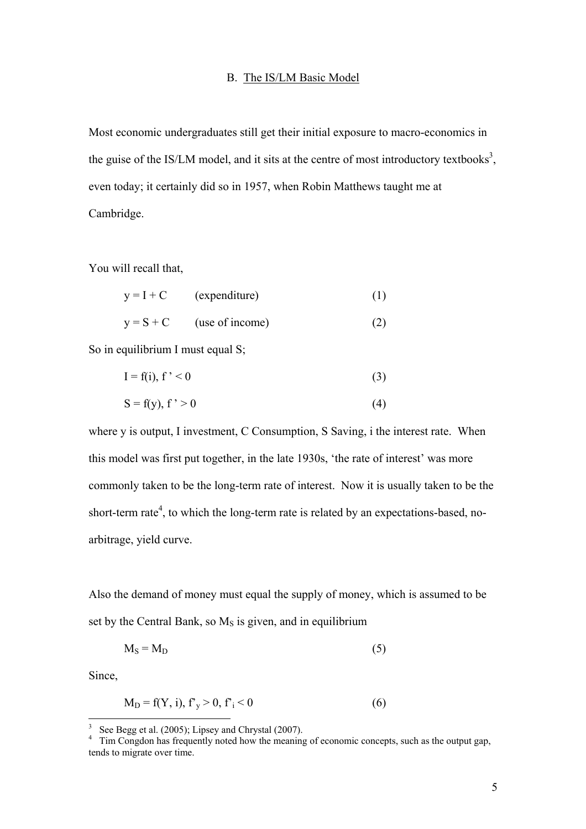#### B. The IS/LM Basic Model

Most economic undergraduates still get their initial exposure to macro-economics in the guise of the IS/LM model, and it sits at the centre of most introductory textbooks<sup>[3](#page-4-0)</sup>, even today; it certainly did so in 1957, when Robin Matthews taught me at Cambridge.

You will recall that,

| $v = I + C$ | (expenditure) | (1) |
|-------------|---------------|-----|
|-------------|---------------|-----|

$$
y = S + C \qquad \text{(use of income)} \tag{2}
$$

So in equilibrium I must equal S;

| $I = f(i), f' < 0$ | (3) |
|--------------------|-----|
| $S = f(y), f' > 0$ | (4) |

where y is output, I investment, C Consumption, S Saving, i the interest rate. When this model was first put together, in the late 1930s, 'the rate of interest' was more commonly taken to be the long-term rate of interest. Now it is usually taken to be the short-term rate<sup>4</sup>, to which the long-term rate is related by an expectations-based, noarbitrage, yield curve.

Also the demand of money must equal the supply of money, which is assumed to be set by the Central Bank, so  $M<sub>S</sub>$  is given, and in equilibrium

$$
M_S = M_D \tag{5}
$$

Since,

$$
M_D = f(Y, i), f'_{y} > 0, f'_{i} < 0
$$
 (6)

<span id="page-4-0"></span><sup>3</sup>

<span id="page-4-1"></span><sup>&</sup>lt;sup>3</sup> See Begg et al. (2005); Lipsey and Chrystal (2007).<br><sup>4</sup> Tim Congdon has frequently noted how the meaning of economic concepts, such as the output gap, tends to migrate over time.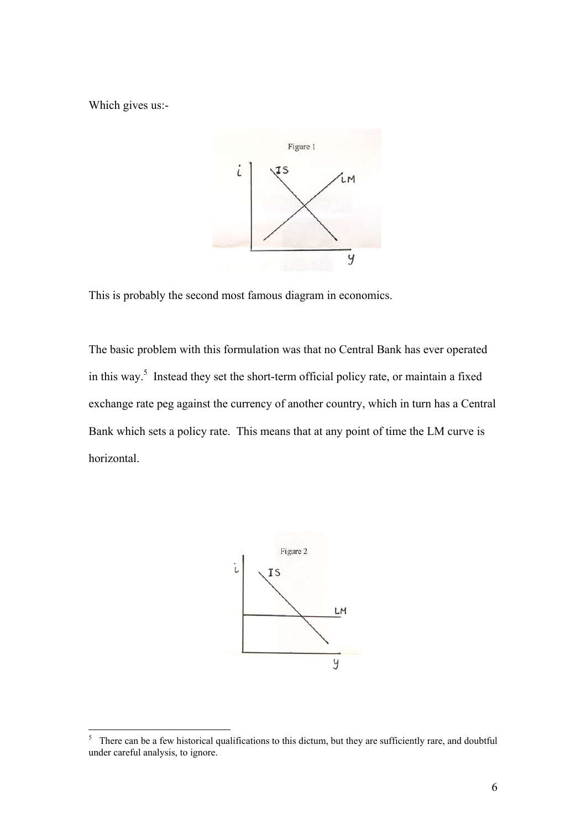Which gives us:-



This is probably the second most famous diagram in economics.

The basic problem with this formulation was that no Central Bank has ever operated in this way.<sup>[5](#page-5-0)</sup> Instead they set the short-term official policy rate, or maintain a fixed exchange rate peg against the currency of another country, which in turn has a Central Bank which sets a policy rate. This means that at any point of time the LM curve is horizontal.



<span id="page-5-0"></span> $\frac{1}{5}$  There can be a few historical qualifications to this dictum, but they are sufficiently rare, and doubtful under careful analysis, to ignore.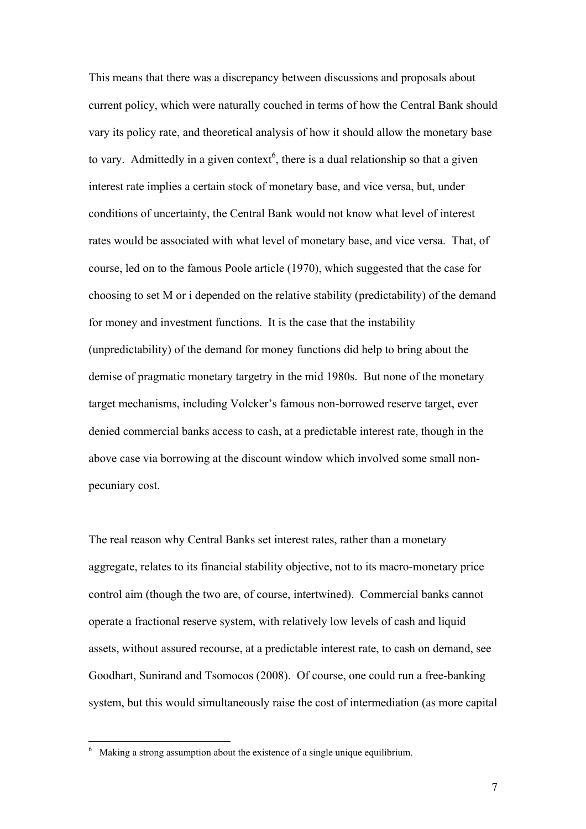This means that there was a discrepancy between discussions and proposals about current policy, which were naturally couched in terms of how the Central Bank should vary its policy rate, and theoretical analysis of how it should allow the monetary base to vary. Admittedly in a given context<sup>[6](#page-6-0)</sup>, there is a dual relationship so that a given interest rate implies a certain stock of monetary base, and vice versa, but, under conditions of uncertainty, the Central Bank would not know what level of interest rates would be associated with what level of monetary base, and vice versa. That, of course, led on to the famous Poole article (1970), which suggested that the case for choosing to set M or i depended on the relative stability (predictability) of the demand for money and investment functions. It is the case that the instability (unpredictability) of the demand for money functions did help to bring about the demise of pragmatic monetary targetry in the mid 1980s. But none of the monetary target mechanisms, including Volcker's famous non-borrowed reserve target, ever denied commercial banks access to cash, at a predictable interest rate, though in the above case via borrowing at the discount window which involved some small nonpecuniary cost.

The real reason why Central Banks set interest rates, rather than a monetary aggregate, relates to its financial stability objective, not to its macro-monetary price control aim (though the two are, of course, intertwined). Commercial banks cannot operate a fractional reserve system, with relatively low levels of cash and liquid assets, without assured recourse, at a predictable interest rate, to cash on demand, see Goodhart, Sunirand and Tsomocos (2008). Of course, one could run a free-banking system, but this would simultaneously raise the cost of intermediation (as more capital

<span id="page-6-0"></span> 6 Making a strong assumption about the existence of a single unique equilibrium.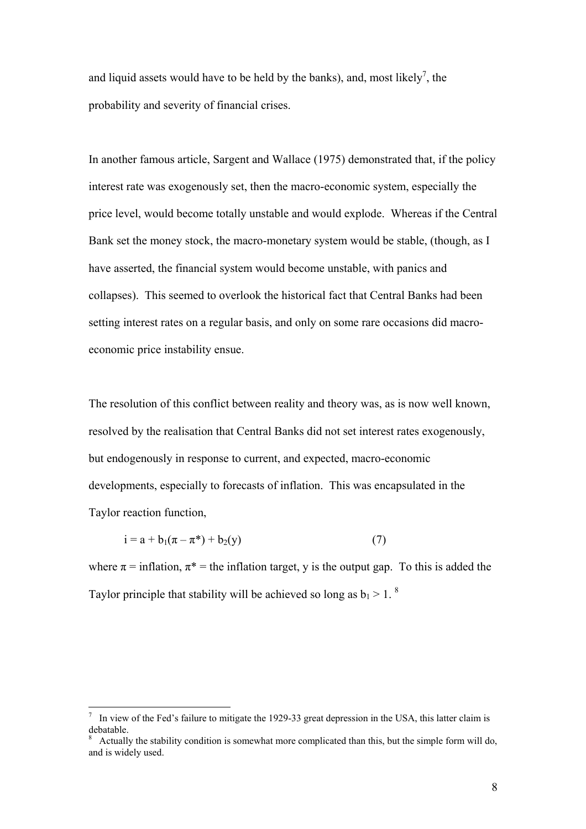and liquid assets would have to be held by the banks), and, most likely<sup>7</sup>, the probability and severity of financial crises.

In another famous article, Sargent and Wallace (1975) demonstrated that, if the policy interest rate was exogenously set, then the macro-economic system, especially the price level, would become totally unstable and would explode. Whereas if the Central Bank set the money stock, the macro-monetary system would be stable, (though, as I have asserted, the financial system would become unstable, with panics and collapses). This seemed to overlook the historical fact that Central Banks had been setting interest rates on a regular basis, and only on some rare occasions did macroeconomic price instability ensue.

The resolution of this conflict between reality and theory was, as is now well known, resolved by the realisation that Central Banks did not set interest rates exogenously, but endogenously in response to current, and expected, macro-economic developments, especially to forecasts of inflation. This was encapsulated in the Taylor reaction function,

$$
i = a + b_1(\pi - \pi^*) + b_2(y)
$$
 (7)

 $\overline{a}$ 

where  $\pi$  = inflation,  $\pi$ <sup>\*</sup> = the inflation target, y is the output gap. To this is added the Taylor principle that stability will be achieved so long as  $b_1 > 1$ .<sup>[8](#page-7-1)</sup>

<span id="page-7-0"></span><sup>7</sup> In view of the Fed's failure to mitigate the 1929-33 great depression in the USA, this latter claim is debatable.

<span id="page-7-1"></span>Actually the stability condition is somewhat more complicated than this, but the simple form will do, and is widely used.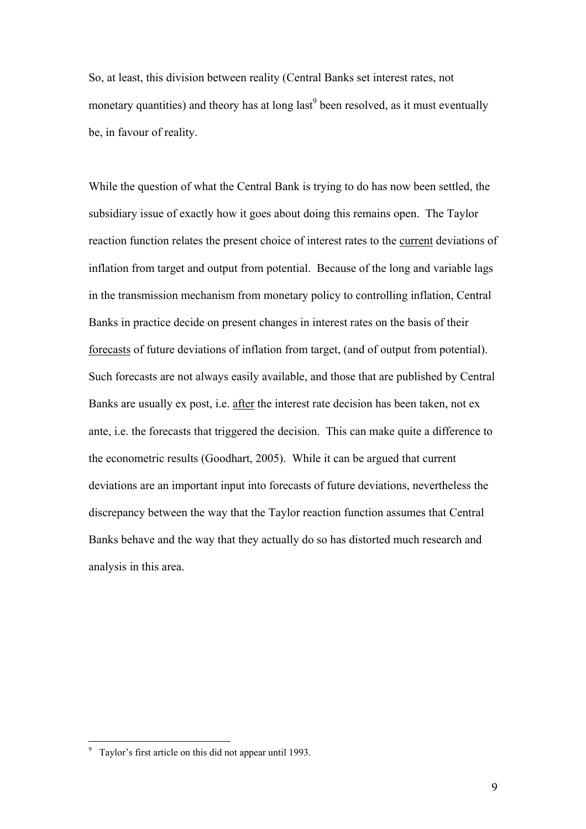So, at least, this division between reality (Central Banks set interest rates, not monetary quantities) and theory has at long  $\text{last}^9$  $\text{last}^9$  been resolved, as it must eventually be, in favour of reality.

While the question of what the Central Bank is trying to do has now been settled, the subsidiary issue of exactly how it goes about doing this remains open. The Taylor reaction function relates the present choice of interest rates to the current deviations of inflation from target and output from potential. Because of the long and variable lags in the transmission mechanism from monetary policy to controlling inflation, Central Banks in practice decide on present changes in interest rates on the basis of their forecasts of future deviations of inflation from target, (and of output from potential). Such forecasts are not always easily available, and those that are published by Central Banks are usually ex post, i.e. after the interest rate decision has been taken, not ex ante, i.e. the forecasts that triggered the decision. This can make quite a difference to the econometric results (Goodhart, 2005). While it can be argued that current deviations are an important input into forecasts of future deviations, nevertheless the discrepancy between the way that the Taylor reaction function assumes that Central Banks behave and the way that they actually do so has distorted much research and analysis in this area.

<span id="page-8-0"></span> 9 Taylor's first article on this did not appear until 1993.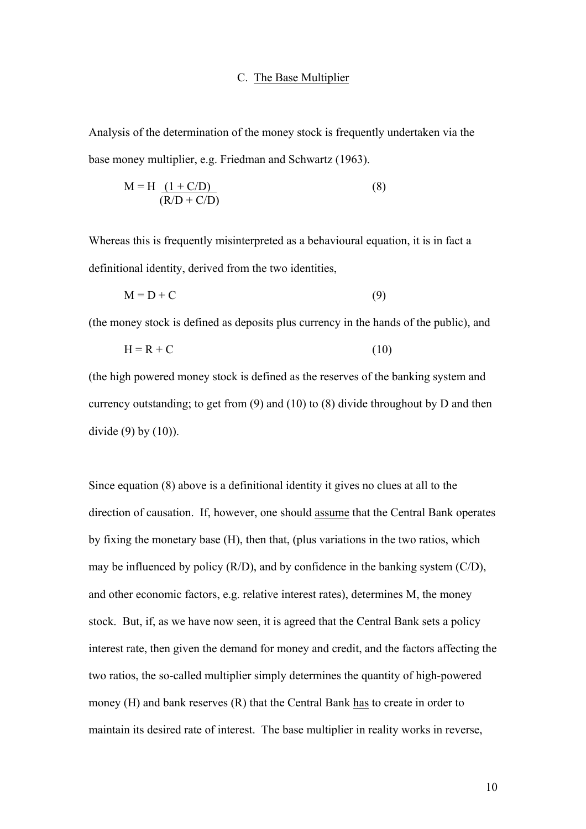#### C. The Base Multiplier

Analysis of the determination of the money stock is frequently undertaken via the base money multiplier, e.g. Friedman and Schwartz (1963).

$$
M = H \frac{(1 + C/D)}{(R/D + C/D)}
$$
 (8)

Whereas this is frequently misinterpreted as a behavioural equation, it is in fact a definitional identity, derived from the two identities,

$$
M = D + C \tag{9}
$$

(the money stock is defined as deposits plus currency in the hands of the public), and

$$
H = R + C \tag{10}
$$

(the high powered money stock is defined as the reserves of the banking system and currency outstanding; to get from (9) and (10) to (8) divide throughout by D and then divide  $(9)$  by  $(10)$ ).

Since equation (8) above is a definitional identity it gives no clues at all to the direction of causation. If, however, one should assume that the Central Bank operates by fixing the monetary base (H), then that, (plus variations in the two ratios, which may be influenced by policy (R/D), and by confidence in the banking system (C/D), and other economic factors, e.g. relative interest rates), determines M, the money stock. But, if, as we have now seen, it is agreed that the Central Bank sets a policy interest rate, then given the demand for money and credit, and the factors affecting the two ratios, the so-called multiplier simply determines the quantity of high-powered money (H) and bank reserves (R) that the Central Bank has to create in order to maintain its desired rate of interest. The base multiplier in reality works in reverse,

10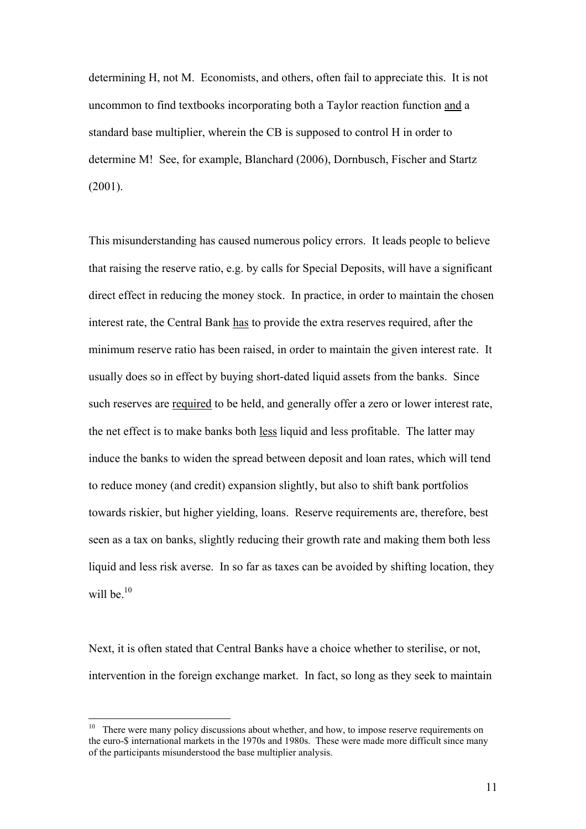determining H, not M. Economists, and others, often fail to appreciate this. It is not uncommon to find textbooks incorporating both a Taylor reaction function and a standard base multiplier, wherein the CB is supposed to control H in order to determine M! See, for example, Blanchard (2006), Dornbusch, Fischer and Startz (2001).

This misunderstanding has caused numerous policy errors. It leads people to believe that raising the reserve ratio, e.g. by calls for Special Deposits, will have a significant direct effect in reducing the money stock. In practice, in order to maintain the chosen interest rate, the Central Bank has to provide the extra reserves required, after the minimum reserve ratio has been raised, in order to maintain the given interest rate. It usually does so in effect by buying short-dated liquid assets from the banks. Since such reserves are required to be held, and generally offer a zero or lower interest rate, the net effect is to make banks both less liquid and less profitable. The latter may induce the banks to widen the spread between deposit and loan rates, which will tend to reduce money (and credit) expansion slightly, but also to shift bank portfolios towards riskier, but higher yielding, loans. Reserve requirements are, therefore, best seen as a tax on banks, slightly reducing their growth rate and making them both less liquid and less risk averse. In so far as taxes can be avoided by shifting location, they will be. $10$ 

Next, it is often stated that Central Banks have a choice whether to sterilise, or not, intervention in the foreign exchange market. In fact, so long as they seek to maintain

<span id="page-10-0"></span> $10$  There were many policy discussions about whether, and how, to impose reserve requirements on the euro-\$ international markets in the 1970s and 1980s. These were made more difficult since many of the participants misunderstood the base multiplier analysis.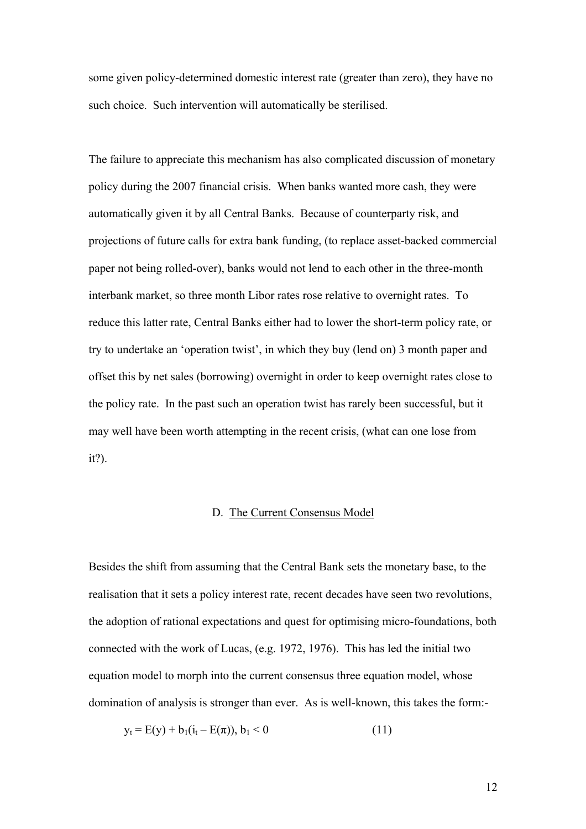some given policy-determined domestic interest rate (greater than zero), they have no such choice. Such intervention will automatically be sterilised.

The failure to appreciate this mechanism has also complicated discussion of monetary policy during the 2007 financial crisis. When banks wanted more cash, they were automatically given it by all Central Banks. Because of counterparty risk, and projections of future calls for extra bank funding, (to replace asset-backed commercial paper not being rolled-over), banks would not lend to each other in the three-month interbank market, so three month Libor rates rose relative to overnight rates. To reduce this latter rate, Central Banks either had to lower the short-term policy rate, or try to undertake an 'operation twist', in which they buy (lend on) 3 month paper and offset this by net sales (borrowing) overnight in order to keep overnight rates close to the policy rate. In the past such an operation twist has rarely been successful, but it may well have been worth attempting in the recent crisis, (what can one lose from it?).

## D. The Current Consensus Model

Besides the shift from assuming that the Central Bank sets the monetary base, to the realisation that it sets a policy interest rate, recent decades have seen two revolutions, the adoption of rational expectations and quest for optimising micro-foundations, both connected with the work of Lucas, (e.g. 1972, 1976). This has led the initial two equation model to morph into the current consensus three equation model, whose domination of analysis is stronger than ever. As is well-known, this takes the form:-

$$
y_t = E(y) + b_1(i_t - E(\pi)), b_1 < 0
$$
 (11)

12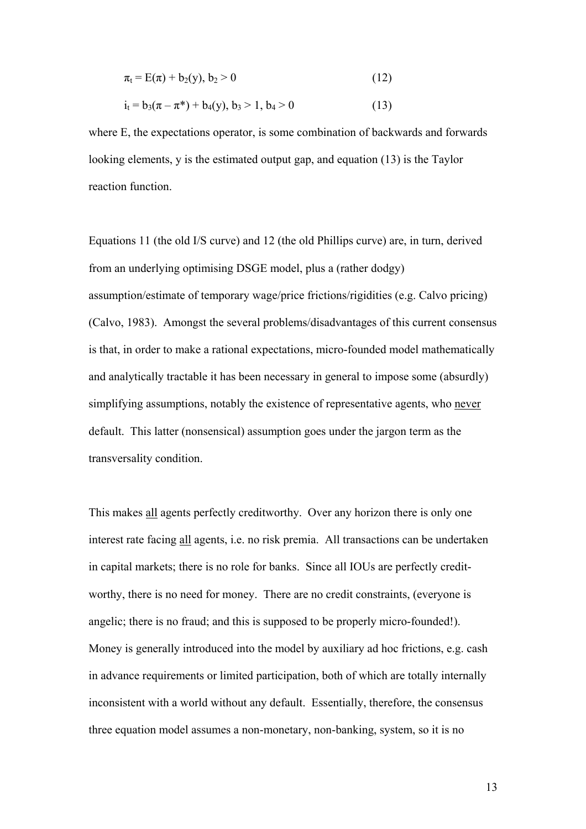$$
\pi_t = E(\pi) + b_2(y), b_2 > 0 \tag{12}
$$

$$
i_{t} = b_{3}(\pi - \pi^{*}) + b_{4}(y), b_{3} > 1, b_{4} > 0
$$
\n(13)

where E, the expectations operator, is some combination of backwards and forwards looking elements, y is the estimated output gap, and equation (13) is the Taylor reaction function.

Equations 11 (the old I/S curve) and 12 (the old Phillips curve) are, in turn, derived from an underlying optimising DSGE model, plus a (rather dodgy) assumption/estimate of temporary wage/price frictions/rigidities (e.g. Calvo pricing) (Calvo, 1983). Amongst the several problems/disadvantages of this current consensus is that, in order to make a rational expectations, micro-founded model mathematically and analytically tractable it has been necessary in general to impose some (absurdly) simplifying assumptions, notably the existence of representative agents, who never default. This latter (nonsensical) assumption goes under the jargon term as the transversality condition.

This makes all agents perfectly creditworthy. Over any horizon there is only one interest rate facing all agents, i.e. no risk premia. All transactions can be undertaken in capital markets; there is no role for banks. Since all IOUs are perfectly creditworthy, there is no need for money. There are no credit constraints, (everyone is angelic; there is no fraud; and this is supposed to be properly micro-founded!). Money is generally introduced into the model by auxiliary ad hoc frictions, e.g. cash in advance requirements or limited participation, both of which are totally internally inconsistent with a world without any default. Essentially, therefore, the consensus three equation model assumes a non-monetary, non-banking, system, so it is no

13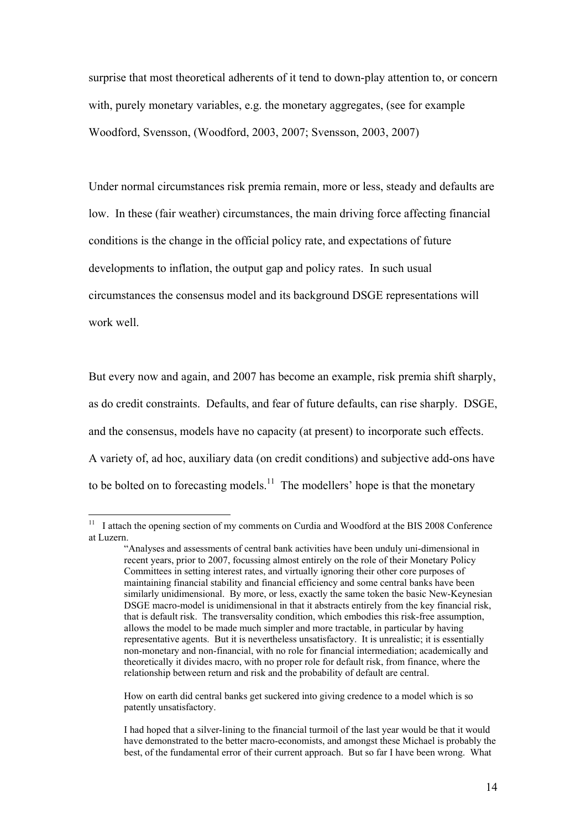surprise that most theoretical adherents of it tend to down-play attention to, or concern with, purely monetary variables, e.g. the monetary aggregates, (see for example Woodford, Svensson, (Woodford, 2003, 2007; Svensson, 2003, 2007)

Under normal circumstances risk premia remain, more or less, steady and defaults are low. In these (fair weather) circumstances, the main driving force affecting financial conditions is the change in the official policy rate, and expectations of future developments to inflation, the output gap and policy rates. In such usual circumstances the consensus model and its background DSGE representations will work well.

But every now and again, and 2007 has become an example, risk premia shift sharply, as do credit constraints. Defaults, and fear of future defaults, can rise sharply. DSGE, and the consensus, models have no capacity (at present) to incorporate such effects. A variety of, ad hoc, auxiliary data (on credit conditions) and subjective add-ons have to be bolted on to forecasting models.<sup>11</sup> The modellers' hope is that the monetary

<span id="page-13-0"></span><sup>&</sup>lt;sup>11</sup> I attach the opening section of my comments on Curdia and Woodford at the BIS 2008 Conference at Luzern.

<sup>&</sup>quot;Analyses and assessments of central bank activities have been unduly uni-dimensional in recent years, prior to 2007, focussing almost entirely on the role of their Monetary Policy Committees in setting interest rates, and virtually ignoring their other core purposes of maintaining financial stability and financial efficiency and some central banks have been similarly unidimensional. By more, or less, exactly the same token the basic New-Keynesian DSGE macro-model is unidimensional in that it abstracts entirely from the key financial risk, that is default risk. The transversality condition, which embodies this risk-free assumption, allows the model to be made much simpler and more tractable, in particular by having representative agents. But it is nevertheless unsatisfactory. It is unrealistic; it is essentially non-monetary and non-financial, with no role for financial intermediation; academically and theoretically it divides macro, with no proper role for default risk, from finance, where the relationship between return and risk and the probability of default are central.

How on earth did central banks get suckered into giving credence to a model which is so patently unsatisfactory.

I had hoped that a silver-lining to the financial turmoil of the last year would be that it would have demonstrated to the better macro-economists, and amongst these Michael is probably the best, of the fundamental error of their current approach. But so far I have been wrong. What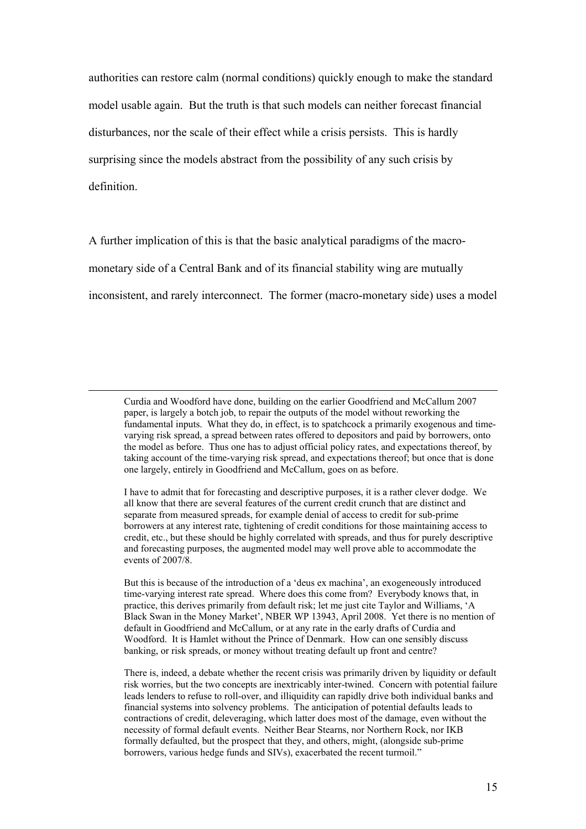authorities can restore calm (normal conditions) quickly enough to make the standard model usable again. But the truth is that such models can neither forecast financial disturbances, nor the scale of their effect while a crisis persists. This is hardly surprising since the models abstract from the possibility of any such crisis by definition.

A further implication of this is that the basic analytical paradigms of the macromonetary side of a Central Bank and of its financial stability wing are mutually inconsistent, and rarely interconnect. The former (macro-monetary side) uses a model

 Curdia and Woodford have done, building on the earlier Goodfriend and McCallum <sup>2007</sup> paper, is largely a botch job, to repair the outputs of the model without reworking the fundamental inputs. What they do, in effect, is to spatchcock a primarily exogenous and timevarying risk spread, a spread between rates offered to depositors and paid by borrowers, onto the model as before. Thus one has to adjust official policy rates, and expectations thereof, by taking account of the time-varying risk spread, and expectations thereof; but once that is done one largely, entirely in Goodfriend and McCallum, goes on as before.

I have to admit that for forecasting and descriptive purposes, it is a rather clever dodge. We all know that there are several features of the current credit crunch that are distinct and separate from measured spreads, for example denial of access to credit for sub-prime borrowers at any interest rate, tightening of credit conditions for those maintaining access to credit, etc., but these should be highly correlated with spreads, and thus for purely descriptive and forecasting purposes, the augmented model may well prove able to accommodate the events of 2007/8.

But this is because of the introduction of a 'deus ex machina', an exogeneously introduced time-varying interest rate spread. Where does this come from? Everybody knows that, in practice, this derives primarily from default risk; let me just cite Taylor and Williams, 'A Black Swan in the Money Market', NBER WP 13943, April 2008. Yet there is no mention of default in Goodfriend and McCallum, or at any rate in the early drafts of Curdia and Woodford. It is Hamlet without the Prince of Denmark. How can one sensibly discuss banking, or risk spreads, or money without treating default up front and centre?

There is, indeed, a debate whether the recent crisis was primarily driven by liquidity or default risk worries, but the two concepts are inextricably inter-twined. Concern with potential failure leads lenders to refuse to roll-over, and illiquidity can rapidly drive both individual banks and financial systems into solvency problems. The anticipation of potential defaults leads to contractions of credit, deleveraging, which latter does most of the damage, even without the necessity of formal default events. Neither Bear Stearns, nor Northern Rock, nor IKB formally defaulted, but the prospect that they, and others, might, (alongside sub-prime borrowers, various hedge funds and SIVs), exacerbated the recent turmoil."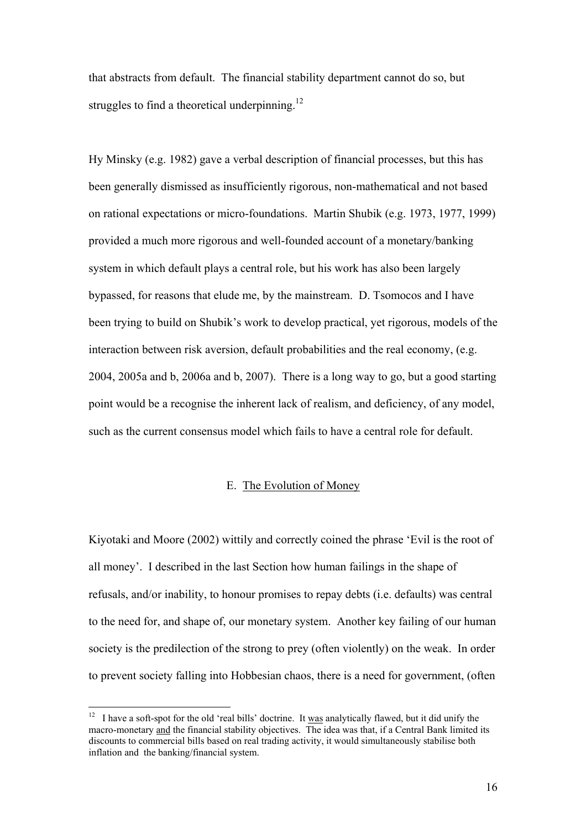that abstracts from default. The financial stability department cannot do so, but struggles to find a theoretical underpinning.<sup>12</sup>

Hy Minsky (e.g. 1982) gave a verbal description of financial processes, but this has been generally dismissed as insufficiently rigorous, non-mathematical and not based on rational expectations or micro-foundations. Martin Shubik (e.g. 1973, 1977, 1999) provided a much more rigorous and well-founded account of a monetary/banking system in which default plays a central role, but his work has also been largely bypassed, for reasons that elude me, by the mainstream. D. Tsomocos and I have been trying to build on Shubik's work to develop practical, yet rigorous, models of the interaction between risk aversion, default probabilities and the real economy, (e.g. 2004, 2005a and b, 2006a and b, 2007). There is a long way to go, but a good starting point would be a recognise the inherent lack of realism, and deficiency, of any model, such as the current consensus model which fails to have a central role for default.

### E. The Evolution of Money

Kiyotaki and Moore (2002) wittily and correctly coined the phrase 'Evil is the root of all money'. I described in the last Section how human failings in the shape of refusals, and/or inability, to honour promises to repay debts (i.e. defaults) was central to the need for, and shape of, our monetary system. Another key failing of our human society is the predilection of the strong to prey (often violently) on the weak. In order to prevent society falling into Hobbesian chaos, there is a need for government, (often

<span id="page-15-0"></span><sup>&</sup>lt;sup>12</sup> I have a soft-spot for the old 'real bills' doctrine. It was analytically flawed, but it did unify the macro-monetary and the financial stability objectives. The idea was that, if a Central Bank limited its discounts to commercial bills based on real trading activity, it would simultaneously stabilise both inflation and the banking/financial system.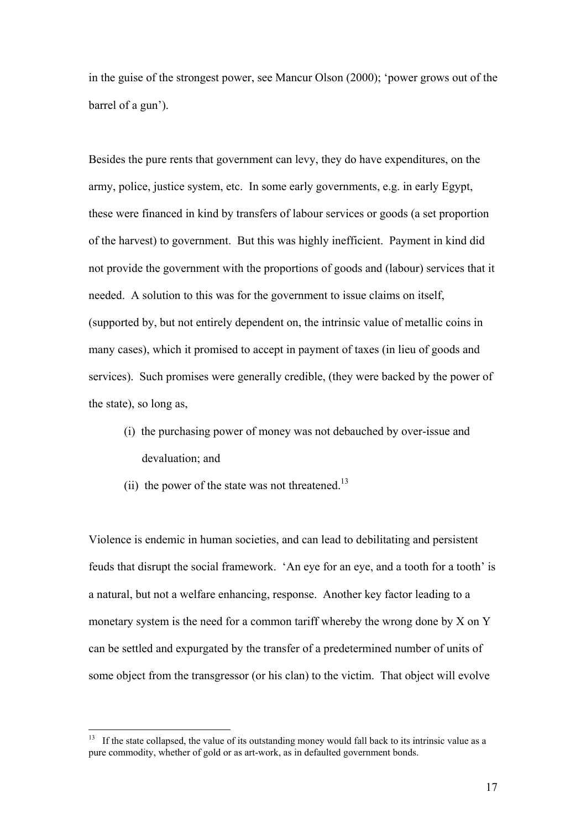in the guise of the strongest power, see Mancur Olson (2000); 'power grows out of the barrel of a gun').

Besides the pure rents that government can levy, they do have expenditures, on the army, police, justice system, etc. In some early governments, e.g. in early Egypt, these were financed in kind by transfers of labour services or goods (a set proportion of the harvest) to government. But this was highly inefficient. Payment in kind did not provide the government with the proportions of goods and (labour) services that it needed. A solution to this was for the government to issue claims on itself, (supported by, but not entirely dependent on, the intrinsic value of metallic coins in many cases), which it promised to accept in payment of taxes (in lieu of goods and services). Such promises were generally credible, (they were backed by the power of the state), so long as,

- (i) the purchasing power of money was not debauched by over-issue and devaluation; and
- (ii) the power of the state was not threatened.<sup>[13](#page-16-0)</sup>

 $\overline{a}$ 

Violence is endemic in human societies, and can lead to debilitating and persistent feuds that disrupt the social framework. 'An eye for an eye, and a tooth for a tooth' is a natural, but not a welfare enhancing, response. Another key factor leading to a monetary system is the need for a common tariff whereby the wrong done by X on Y can be settled and expurgated by the transfer of a predetermined number of units of some object from the transgressor (or his clan) to the victim. That object will evolve

<span id="page-16-0"></span><sup>&</sup>lt;sup>13</sup> If the state collapsed, the value of its outstanding money would fall back to its intrinsic value as a pure commodity, whether of gold or as art-work, as in defaulted government bonds.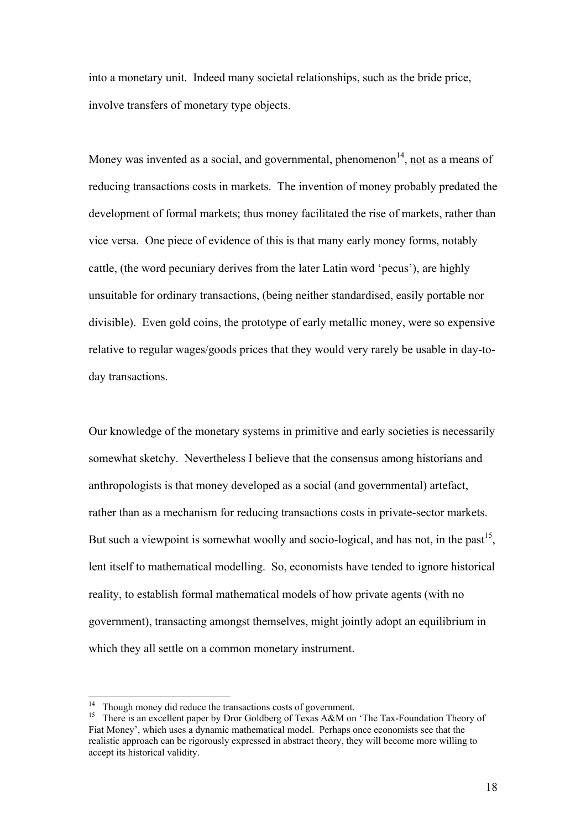into a monetary unit. Indeed many societal relationships, such as the bride price, involve transfers of monetary type objects.

Money was invented as a social, and governmental, phenomenon<sup>14</sup>, not as a means of reducing transactions costs in markets. The invention of money probably predated the development of formal markets; thus money facilitated the rise of markets, rather than vice versa. One piece of evidence of this is that many early money forms, notably cattle, (the word pecuniary derives from the later Latin word 'pecus'), are highly unsuitable for ordinary transactions, (being neither standardised, easily portable nor divisible). Even gold coins, the prototype of early metallic money, were so expensive relative to regular wages/goods prices that they would very rarely be usable in day-today transactions.

Our knowledge of the monetary systems in primitive and early societies is necessarily somewhat sketchy. Nevertheless I believe that the consensus among historians and anthropologists is that money developed as a social (and governmental) artefact, rather than as a mechanism for reducing transactions costs in private-sector markets. But such a viewpoint is somewhat woolly and socio-logical, and has not, in the past<sup>15</sup>, lent itself to mathematical modelling. So, economists have tended to ignore historical reality, to establish formal mathematical models of how private agents (with no government), transacting amongst themselves, might jointly adopt an equilibrium in which they all settle on a common monetary instrument.

<span id="page-17-0"></span><sup>&</sup>lt;sup>14</sup> Though money did reduce the transactions costs of government.

<span id="page-17-1"></span><sup>&</sup>lt;sup>15</sup> There is an excellent paper by Dror Goldberg of Texas A&M on 'The Tax-Foundation Theory of Fiat Money', which uses a dynamic mathematical model. Perhaps once economists see that the realistic approach can be rigorously expressed in abstract theory, they will become more willing to accept its historical validity.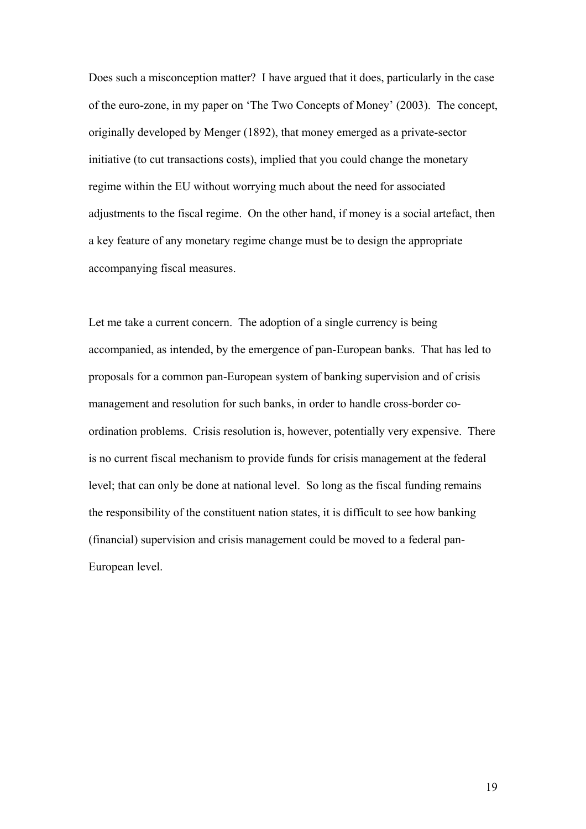Does such a misconception matter? I have argued that it does, particularly in the case of the euro-zone, in my paper on 'The Two Concepts of Money' (2003). The concept, originally developed by Menger (1892), that money emerged as a private-sector initiative (to cut transactions costs), implied that you could change the monetary regime within the EU without worrying much about the need for associated adjustments to the fiscal regime. On the other hand, if money is a social artefact, then a key feature of any monetary regime change must be to design the appropriate accompanying fiscal measures.

Let me take a current concern. The adoption of a single currency is being accompanied, as intended, by the emergence of pan-European banks. That has led to proposals for a common pan-European system of banking supervision and of crisis management and resolution for such banks, in order to handle cross-border coordination problems. Crisis resolution is, however, potentially very expensive. There is no current fiscal mechanism to provide funds for crisis management at the federal level; that can only be done at national level. So long as the fiscal funding remains the responsibility of the constituent nation states, it is difficult to see how banking (financial) supervision and crisis management could be moved to a federal pan-European level.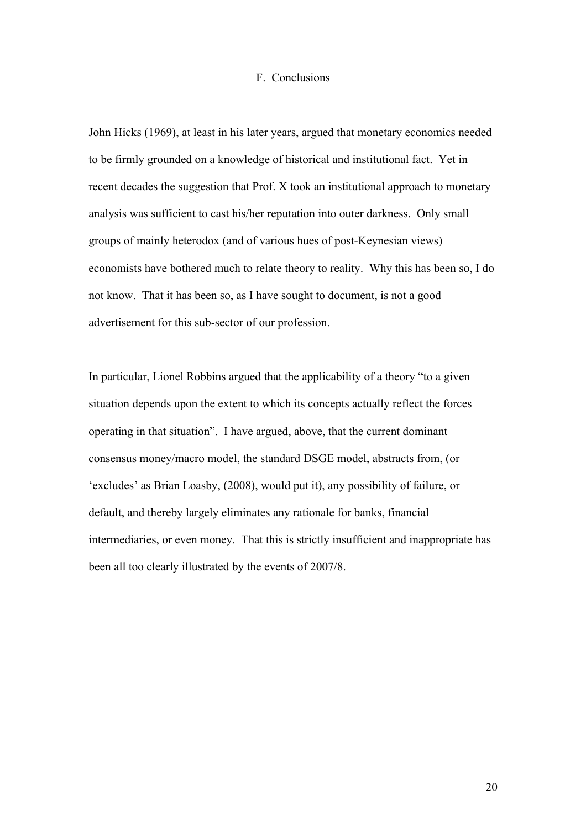### F. Conclusions

John Hicks (1969), at least in his later years, argued that monetary economics needed to be firmly grounded on a knowledge of historical and institutional fact. Yet in recent decades the suggestion that Prof. X took an institutional approach to monetary analysis was sufficient to cast his/her reputation into outer darkness. Only small groups of mainly heterodox (and of various hues of post-Keynesian views) economists have bothered much to relate theory to reality. Why this has been so, I do not know. That it has been so, as I have sought to document, is not a good advertisement for this sub-sector of our profession.

In particular, Lionel Robbins argued that the applicability of a theory "to a given situation depends upon the extent to which its concepts actually reflect the forces operating in that situation". I have argued, above, that the current dominant consensus money/macro model, the standard DSGE model, abstracts from, (or 'excludes' as Brian Loasby, (2008), would put it), any possibility of failure, or default, and thereby largely eliminates any rationale for banks, financial intermediaries, or even money. That this is strictly insufficient and inappropriate has been all too clearly illustrated by the events of 2007/8.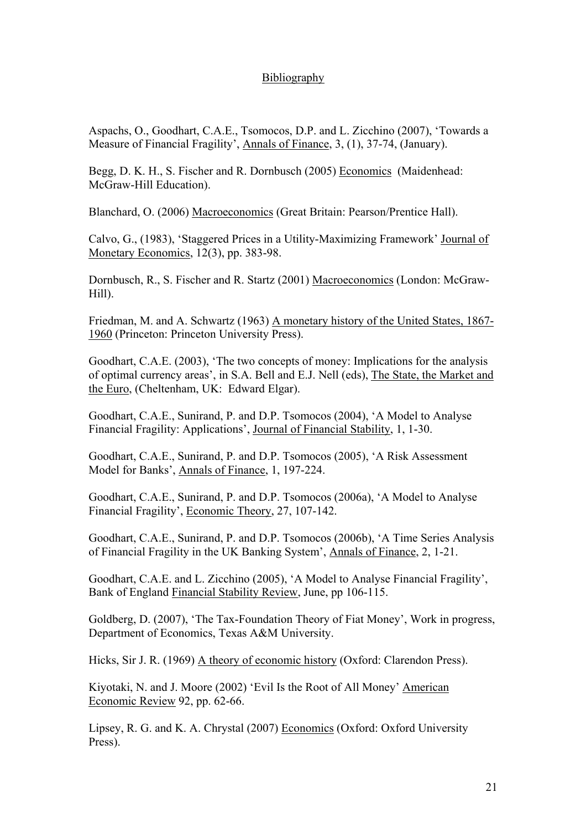# **Bibliography**

Aspachs, O., Goodhart, C.A.E., Tsomocos, D.P. and L. Zicchino (2007), 'Towards a Measure of Financial Fragility', Annals of Finance, 3, (1), 37-74, (January).

Begg, D. K. H., S. Fischer and R. Dornbusch (2005) Economics (Maidenhead: McGraw-Hill Education).

Blanchard, O. (2006) Macroeconomics (Great Britain: Pearson/Prentice Hall).

Calvo, G., (1983), 'Staggered Prices in a Utility-Maximizing Framework' Journal of Monetary Economics, 12(3), pp. 383-98.

Dornbusch, R., S. Fischer and R. Startz (2001) Macroeconomics (London: McGraw-Hill).

Friedman, M. and A. Schwartz (1963) A monetary history of the United States, 1867- 1960 (Princeton: Princeton University Press).

Goodhart, C.A.E. (2003), 'The two concepts of money: Implications for the analysis of optimal currency areas', in S.A. Bell and E.J. Nell (eds), The State, the Market and the Euro, (Cheltenham, UK: Edward Elgar).

Goodhart, C.A.E., Sunirand, P. and D.P. Tsomocos (2004), 'A Model to Analyse Financial Fragility: Applications', Journal of Financial Stability, 1, 1-30.

Goodhart, C.A.E., Sunirand, P. and D.P. Tsomocos (2005), 'A Risk Assessment Model for Banks', Annals of Finance, 1, 197-224.

Goodhart, C.A.E., Sunirand, P. and D.P. Tsomocos (2006a), 'A Model to Analyse Financial Fragility', Economic Theory, 27, 107-142.

Goodhart, C.A.E., Sunirand, P. and D.P. Tsomocos (2006b), 'A Time Series Analysis of Financial Fragility in the UK Banking System', Annals of Finance, 2, 1-21.

Goodhart, C.A.E. and L. Zicchino (2005), 'A Model to Analyse Financial Fragility', Bank of England Financial Stability Review, June, pp 106-115.

Goldberg, D. (2007), 'The Tax-Foundation Theory of Fiat Money', Work in progress, Department of Economics, Texas A&M University.

Hicks, Sir J. R. (1969) A theory of economic history (Oxford: Clarendon Press).

Kiyotaki, N. and J. Moore (2002) 'Evil Is the Root of All Money' American Economic Review 92, pp. 62-66.

Lipsey, R. G. and K. A. Chrystal (2007) Economics (Oxford: Oxford University Press).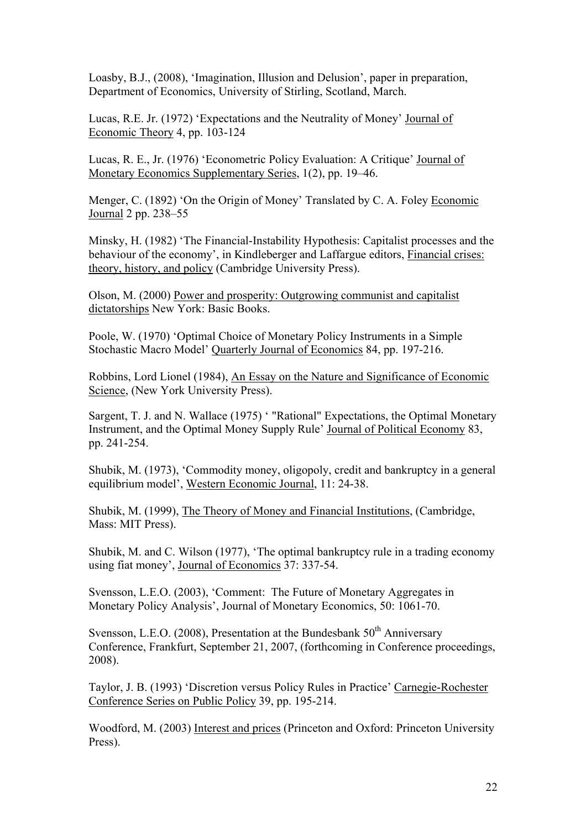Loasby, B.J., (2008), 'Imagination, Illusion and Delusion', paper in preparation, Department of Economics, University of Stirling, Scotland, March.

Lucas, R.E. Jr. (1972) 'Expectations and the Neutrality of Money' Journal of Economic Theory 4, pp. 103-124

Lucas, R. E., Jr. (1976) 'Econometric Policy Evaluation: A Critique' Journal of Monetary Economics Supplementary Series, 1(2), pp. 19–46.

Menger, C. (1892) 'On the Origin of Money' Translated by C. A. Foley Economic Journal 2 pp. 238–55

Minsky, H. (1982) 'The Financial-Instability Hypothesis: Capitalist processes and the behaviour of the economy', in Kindleberger and Laffargue editors, Financial crises: theory, history, and policy (Cambridge University Press).

Olson, M. (2000) Power and prosperity: Outgrowing communist and capitalist dictatorships New York: Basic Books.

Poole, W. (1970) 'Optimal Choice of Monetary Policy Instruments in a Simple Stochastic Macro Model' Quarterly Journal of Economics 84, pp. 197-216.

Robbins, Lord Lionel (1984), An Essay on the Nature and Significance of Economic Science, (New York University Press).

Sargent, T. J. and N. Wallace (1975) ' "Rational" Expectations, the Optimal Monetary Instrument, and the Optimal Money Supply Rule' Journal of Political Economy 83, pp. 241-254.

Shubik, M. (1973), 'Commodity money, oligopoly, credit and bankruptcy in a general equilibrium model', Western Economic Journal, 11: 24-38.

Shubik, M. (1999), The Theory of Money and Financial Institutions, (Cambridge, Mass: MIT Press).

Shubik, M. and C. Wilson (1977), 'The optimal bankruptcy rule in a trading economy using fiat money', Journal of Economics 37: 337-54.

Svensson, L.E.O. (2003), 'Comment: The Future of Monetary Aggregates in Monetary Policy Analysis', Journal of Monetary Economics, 50: 1061-70.

Svensson, L.E.O. (2008), Presentation at the Bundesbank  $50<sup>th</sup>$  Anniversary Conference, Frankfurt, September 21, 2007, (forthcoming in Conference proceedings, 2008).

Taylor, J. B. (1993) 'Discretion versus Policy Rules in Practice' Carnegie-Rochester Conference Series on Public Policy 39, pp. 195-214.

Woodford, M. (2003) Interest and prices (Princeton and Oxford: Princeton University Press).